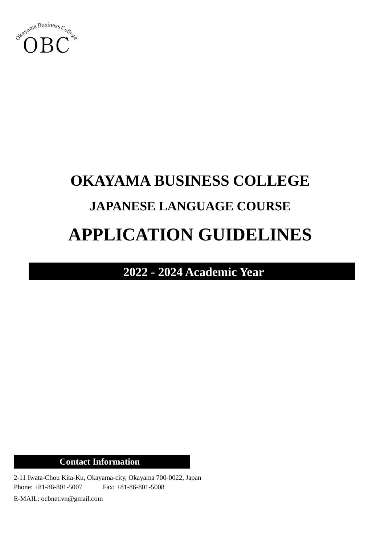

# **OKAYAMA BUSINESS COLLEGE JAPANESE LANGUAGE COURSE APPLICATION GUIDELINES**

**2022 - 2024 Academic Year**

**Contact Information**

2-11 Iwata-Chou Kita-Ku, Okayama-city, Okayama 700-0022, Japan Phone: +81-86-801-5007 Fax: +81-86-801-5008

E-MAIL: ocbnet.vn@gmail.com

l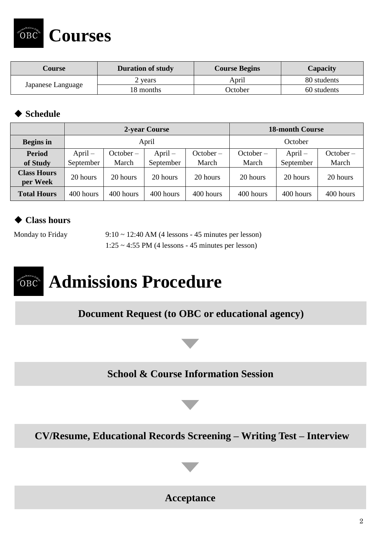**Courses**

| Course            | <b>Duration of study</b> | <b>Course Begins</b> | Capacity    |
|-------------------|--------------------------|----------------------|-------------|
|                   | 2 years                  | April                | 80 students |
| Japanese Language | 18 months                | October              | 60 students |

#### ◆ **Schedule**

 $\mathrm{OBC}$ 

|                                | 2-year Course |           |           |           | <b>18-month Course</b> |           |             |
|--------------------------------|---------------|-----------|-----------|-----------|------------------------|-----------|-------------|
| <b>Begins</b> in               | April         |           |           |           | October                |           |             |
| <b>Period</b>                  | $April -$     | October – | $April -$ | October – | October –              | $April -$ | $October -$ |
| of Study                       | September     | March     | September | March     | March                  | September | March       |
| <b>Class Hours</b><br>per Week | 20 hours      | 20 hours  | 20 hours  | 20 hours  | 20 hours               | 20 hours  | 20 hours    |
| <b>Total Hours</b>             | 400 hours     | 400 hours | 400 hours | 400 hours | 400 hours              | 400 hours | 400 hours   |

### ◆ **Class hours**

Monday to Friday 9:10 ~ 12:40 AM (4 lessons - 45 minutes per lesson)  $1:25 \sim 4:55$  PM (4 lessons - 45 minutes per lesson)

## **Admissions Procedure** OBC

**Document Request (to OBC or educational agency)**



**School & Course Information Session**

**CV/Resume, Educational Records Screening – Writing Test – Interview**

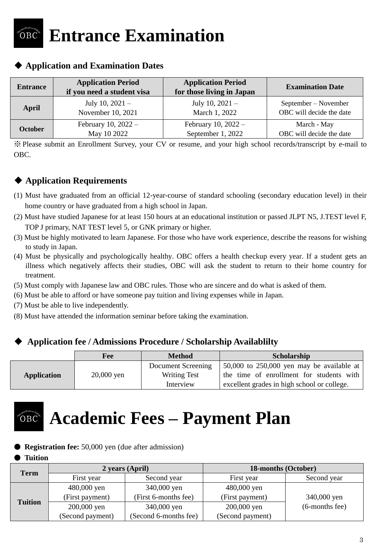## **Entrance Examination**  ŐВC

| <b>Entrance</b> | <b>Application Period</b><br>if you need a student visa | <b>Application Period</b><br>for those living in Japan | <b>Examination Date</b>  |
|-----------------|---------------------------------------------------------|--------------------------------------------------------|--------------------------|
| April           | July 10, $2021 -$                                       | July 10, $2021 -$                                      | September – November     |
|                 | November 10, 2021                                       | March 1, 2022                                          | OBC will decide the date |
| <b>October</b>  | February 10, $2022 -$                                   | February 10, $2022 -$                                  | March - May              |
|                 | May 10 2022                                             | September 1, 2022                                      | OBC will decide the date |

#### ◆ **Application and Examination Dates**

※ Please submit an Enrollment Survey, your CV or resume, and your high school records/transcript by e-mail to OBC.

### ◆ **Application Requirements**

- (1) Must have graduated from an official 12-year-course of standard schooling (secondary education level) in their home country or have graduated from a high school in Japan.
- (2) Must have studied Japanese for at least 150 hours at an educational institution or passed JLPT N5, J.TEST level F, TOP J primary, NAT TEST level 5, or GNK primary or higher.
- (3) Must be highly motivated to learn Japanese. For those who have work experience, describe the reasons for wishing to study in Japan.
- (4) Must be physically and psychologically healthy. OBC offers a health checkup every year. If a student gets an illness which negatively affects their studies, OBC will ask the student to return to their home country for treatment.
- (5) Must comply with Japanese law and OBC rules. Those who are sincere and do what is asked of them.
- (6) Must be able to afford or have someone pay tuition and living expenses while in Japan.
- (7) Must be able to live independently.
- (8) Must have attended the information seminar before taking the examination.

#### ◆ **Application fee / Admissions Procedure / Scholarship Availablilty**

|             | Fee          | <b>Method</b>       | Scholarship                                 |
|-------------|--------------|---------------------|---------------------------------------------|
|             |              | Document Screening  | 50,000 to 250,000 yen may be available at   |
| Application | $20,000$ yen | <b>Writing Test</b> | the time of enrollment for students with    |
|             |              | Interview           | excellent grades in high school or college. |



## **Academic Fees – Payment Plan**

● **Registration fee:** 50,000 yen (due after admission)

#### ● **Tuition**

| <b>Term</b>    | 2 years (April)  |                       | 18-months (October) |                |
|----------------|------------------|-----------------------|---------------------|----------------|
|                | First year       | Second year           | First year          | Second year    |
|                | 480,000 yen      | 340,000 yen           | 480,000 yen         |                |
|                | (First payment)  | (First 6-months fee)  | (First payment)     | 340,000 yen    |
| <b>Tuition</b> | 200,000 yen      | 340,000 yen           | 200,000 yen         | (6-months fee) |
|                | (Second payment) | (Second 6-months fee) | (Second payment)    |                |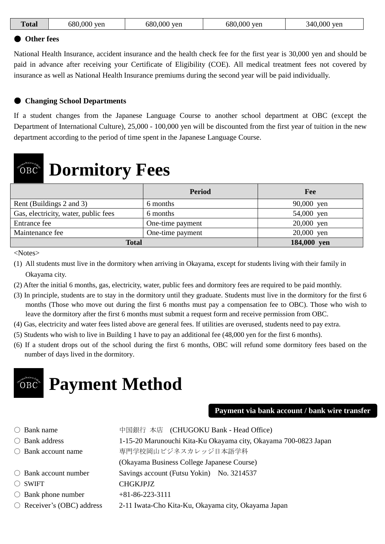| 680,000<br>680,000 yen<br>680,000 yen<br>$000$ yen<br>340.U<br>.'otal<br>yen |
|------------------------------------------------------------------------------|
|------------------------------------------------------------------------------|

#### ● **Other fees**

National Health Insurance, accident insurance and the health check fee for the first year is 30,000 yen and should be paid in advance after receiving your Certificate of Eligibility (COE). All medical treatment fees not covered by insurance as well as National Health Insurance premiums during the second year will be paid individually.

#### ● **Changing School Departments**

If a student changes from the Japanese Language Course to another school department at OBC (except the Department of International Culture), 25,000 - 100,000 yen will be discounted from the first year of tuition in the new department according to the period of time spent in the Japanese Language Course.

#### **Dormitory Fees**  $\rm^{3}OBC$

|                                      | <b>Period</b>    | Fee         |
|--------------------------------------|------------------|-------------|
| Rent (Buildings 2 and 3)             | 6 months         | 90,000 yen  |
| Gas, electricity, water, public fees | 6 months         | 54,000 yen  |
| Entrance fee                         | One-time payment | 20,000 yen  |
| Maintenance fee                      | One-time payment | 20,000 yen  |
| <b>Total</b>                         |                  | 184,000 yen |

<Notes>

- (1) All students must live in the dormitory when arriving in Okayama, except for students living with their family in Okayama city.
- (2) After the initial 6 months, gas, electricity, water, public fees and dormitory fees are required to be paid monthly.
- (3) In principle, students are to stay in the dormitory until they graduate. Students must live in the dormitory for the first 6 months (Those who move out during the first 6 months must pay a compensation fee to OBC). Those who wish to leave the dormitory after the first 6 months must submit a request form and receive permission from OBC.
- (4) Gas, electricity and water fees listed above are general fees. If utilities are overused, students need to pay extra.
- (5) Students who wish to live in Building 1 have to pay an additional fee (48,000 yen for the first 6 months).
- (6) If a student drops out of the school during the first 6 months, OBC will refund some dormitory fees based on the number of days lived in the dormitory.

 $\overline{\phantom{a}}$ 

#### **Payment Method** ÕВC

#### **Payment via bank account / bank wire transfer**

〇 Bank name 中国銀行 本店 (CHUGOKU Bank - Head Office) 〇 Bank address 1-15-20 Marunouchi Kita-Ku Okayama city, Okayama 700-0823 Japan ○ Bank account name 事門学校岡山ビジネスカレッジ日本語学科 (Okayama Business College Japanese Course) 〇 Bank account number Savings account (Futsu Yokin) No. 3214537 〇 SWIFT CHGKJPJZ  $\bigcirc$  Bank phone number  $+81-86-223-3111$ 〇 Receiver's (OBC) address 2-11 Iwata-Cho Kita-Ku, Okayama city, Okayama Japan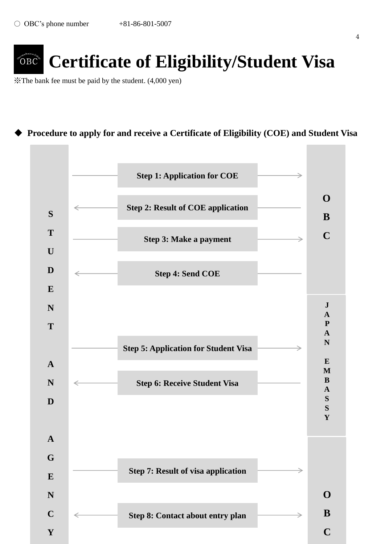

# **Certificate of Eligibility/Student Visa**

※The bank fee must be paid by the student. (4,000 yen)

## ◆ **Procedure to apply for and receive a Certificate of Eligibility (COE) and Student Visa**

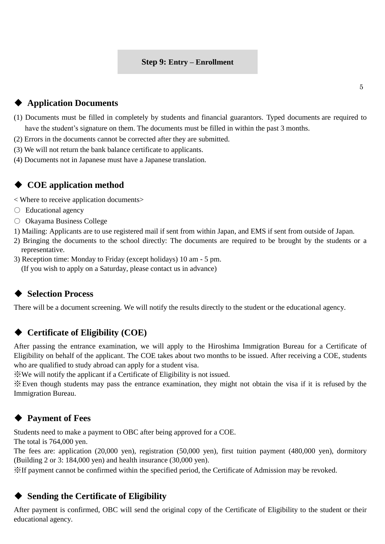#### **Step 9: Entry – Enrollment**

- (1) Documents must be filled in completely by students and financial guarantors. Typed documents are required to have the student's signature on them. The documents must be filled in within the past 3 months.
- (2) Errors in the documents cannot be corrected after they are submitted.
- (3) We will not return the bank balance certificate to applicants.
- (4) Documents not in Japanese must have a Japanese translation.

#### ◆ **COE application method**

< Where to receive application documents>

- Educational agency
- Okayama Business College
- 1) Mailing: Applicants are to use registered mail if sent from within Japan, and EMS if sent from outside of Japan.
- 2) Bringing the documents to the school directly: The documents are required to be brought by the students or a representative.
- 3) Reception time: Monday to Friday (except holidays) 10 am 5 pm. (If you wish to apply on a Saturday, please contact us in advance)

#### ◆ **Selection Process**

There will be a document screening. We will notify the results directly to the student or the educational agency.

#### ◆ **Certificate of Eligibility (COE)**

After passing the entrance examination, we will apply to the Hiroshima Immigration Bureau for a Certificate of Eligibility on behalf of the applicant. The COE takes about two months to be issued. After receiving a COE, students who are qualified to study abroad can apply for a student visa.

※ We will notify the applicant if a Certificate of Eligibility is not issued.

※Even though students may pass the entrance examination, they might not obtain the visa if it is refused by the Immigration Bureau.

### **Payment of Fees**

Students need to make a payment to OBC after being approved for a COE.

The total is 764,000 yen.

The fees are: application (20,000 yen), registration (50,000 yen), first tuition payment (480,000 yen), dormitory (Building 2 or 3: 184,000 yen) and health insurance (30,000 yen).

※If payment cannot be confirmed within the specified period, the Certificate of Admission may be revoked.

#### **Sending the Certificate of Eligibility**

After payment is confirmed, OBC will send the original copy of the Certificate of Eligibility to the student or their educational agency.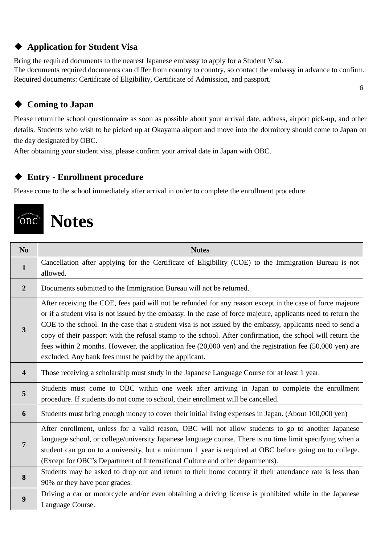## ◆ **Application for Student Visa**

Bring the required documents to the nearest Japanese embassy to apply for a Student Visa. The documents required documents can differ from country to country, so contact the embassy in advance to confirm. Required documents: Certificate of Eligibility, Certificate of Admission, and passport. 6

## ◆ **Coming to Japan**

Please return the school questionnaire as soon as possible about your arrival date, address, airport pick-up, and other details. Students who wish to be picked up at Okayama airport and move into the dormitory should come to Japan on the day designated by OBC.

After obtaining your student visa, please confirm your arrival date in Japan with OBC.

### ◆ **Entry - Enrollment procedure**

Please come to the school immediately after arrival in order to complete the enrollment procedure.

## **Notes** ÖВC

| N <sub>0</sub> | <b>Notes</b>                                                                                                                                                                                                                                                                                                                                                                                                                                                                                                                                                                                                                     |
|----------------|----------------------------------------------------------------------------------------------------------------------------------------------------------------------------------------------------------------------------------------------------------------------------------------------------------------------------------------------------------------------------------------------------------------------------------------------------------------------------------------------------------------------------------------------------------------------------------------------------------------------------------|
| $\mathbf{1}$   | Cancellation after applying for the Certificate of Eligibility (COE) to the Immigration Bureau is not                                                                                                                                                                                                                                                                                                                                                                                                                                                                                                                            |
|                | allowed.                                                                                                                                                                                                                                                                                                                                                                                                                                                                                                                                                                                                                         |
| $\overline{2}$ | Documents submitted to the Immigration Bureau will not be returned.                                                                                                                                                                                                                                                                                                                                                                                                                                                                                                                                                              |
| $\overline{3}$ | After receiving the COE, fees paid will not be refunded for any reason except in the case of force majeure<br>or if a student visa is not issued by the embassy. In the case of force majeure, applicants need to return the<br>COE to the school. In the case that a student visa is not issued by the embassy, applicants need to send a<br>copy of their passport with the refusal stamp to the school. After confirmation, the school will return the<br>fees within 2 months. However, the application fee (20,000 yen) and the registration fee (50,000 yen) are<br>excluded. Any bank fees must be paid by the applicant. |
| 4              | Those receiving a scholarship must study in the Japanese Language Course for at least 1 year.                                                                                                                                                                                                                                                                                                                                                                                                                                                                                                                                    |
| 5              | Students must come to OBC within one week after arriving in Japan to complete the enrollment<br>procedure. If students do not come to school, their enrollment will be cancelled.                                                                                                                                                                                                                                                                                                                                                                                                                                                |
| 6              | Students must bring enough money to cover their initial living expenses in Japan. (About 100,000 yen)                                                                                                                                                                                                                                                                                                                                                                                                                                                                                                                            |
| 7              | After enrollment, unless for a valid reason, OBC will not allow students to go to another Japanese<br>language school, or college/university Japanese language course. There is no time limit specifying when a<br>student can go on to a university, but a minimum 1 year is required at OBC before going on to college.<br>(Except for OBC's Department of International Culture and other departments).                                                                                                                                                                                                                       |
| 8              | Students may be asked to drop out and return to their home country if their attendance rate is less than<br>90% or they have poor grades.                                                                                                                                                                                                                                                                                                                                                                                                                                                                                        |
| 9              | Driving a car or motorcycle and/or even obtaining a driving license is prohibited while in the Japanese<br>Language Course.                                                                                                                                                                                                                                                                                                                                                                                                                                                                                                      |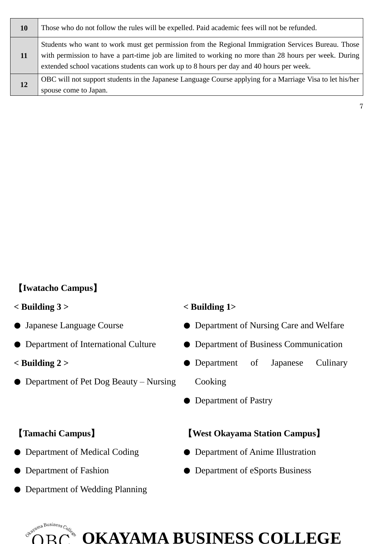| <b>10</b> | Those who do not follow the rules will be expelled. Paid academic fees will not be refunded.                                                                                                                                                                                                            |
|-----------|---------------------------------------------------------------------------------------------------------------------------------------------------------------------------------------------------------------------------------------------------------------------------------------------------------|
| 11        | Students who want to work must get permission from the Regional Immigration Services Bureau. Those<br>with permission to have a part-time job are limited to working no more than 28 hours per week. During<br>extended school vacations students can work up to 8 hours per day and 40 hours per week. |
| 12        | OBC will not support students in the Japanese Language Course applying for a Marriage Visa to let his/her<br>spouse come to Japan.                                                                                                                                                                      |

### 【**Iwatacho Campus**】

#### **< Building 3 >**

- Japanese Language Course
- Department of International Culture
- **< Building 2 >**
- Department of Pet Dog Beauty Nursing

#### **< Building 1>**

● Department of Nursing Care and Welfare

7

- Department of Business Communication
- Department of Japanese Culinary Cooking
- Department of Pastry

#### 【**Tamachi Campus**】

- Department of Medical Coding
- Department of Fashion
- Department of Wedding Planning

#### 【**West Okayama Station Campus**】

- Department of Anime Illustration
- Department of eSports Business



## **OKAYAMA BUSINESS COLLEGE**